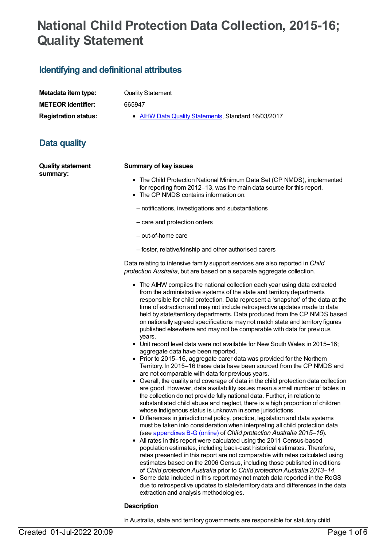# **National Child Protection Data Collection, 2015-16; Quality Statement**

# **Identifying and definitional attributes**

| Metadata item type:         |
|-----------------------------|
| <b>METEOR identifier:</b>   |
| <b>Registration status:</b> |

**Quality Statement** 

**METEOR identifier:** 665947

**AIHW Data Quality [Statements](https://meteor.aihw.gov.au/RegistrationAuthority/5), Standard 16/03/2017** 

# **Data quality**

**Quality statement summary:**

### **Summary of key issues**

- The Child Protection National Minimum Data Set (CP NMDS), implemented for reporting from 2012–13, was the main data source for this report.
- The CP NMDS contains information on:
- notifications, investigations and substantiations
- care and protection orders
- out-of-home care
- foster, relative/kinship and other authorised carers

Data relating to intensive family support services are also reported in *Child protection Australia*, but are based on a separate aggregate collection.

- The AIHW compiles the national collection each year using data extracted from the administrative systems of the state and territory departments responsible for child protection. Data represent a 'snapshot' of the data at the time of extraction and may not include retrospective updates made to data held by state/territory departments. Data produced from the CP NMDS based on nationally agreed specifications may not match state and territory figures published elsewhere and may not be comparable with data for previous years.
- Unit record level data were not available for New South Wales in 2015–16; aggregate data have been reported.
- Prior to 2015–16, aggregate carer data was provided for the Northern Territory. In 2015–16 these data have been sourced from the CP NMDS and are not comparable with data for previous years.
- Overall, the quality and coverage of data in the child protection data collection are good. However, data availability issues mean a small number of tables in the collection do not provide fully national data. Further, in relation to substantiated child abuse and neglect, there is a high proportion of children whose Indigenous status is unknown in some jurisdictions.
- Differences in jurisdictional policy, practice, legislation and data systems must be taken into consideration when interpreting all child protection data (see [appendixes](http://www.aihw.gov.au/publication-detail/?id=60129558626) B-G (online) of *Child protection Australia 2015–16*).
- All rates in this report were calculated using the 2011 Census-based population estimates, including back-cast historical estimates. Therefore, rates presented in this report are not comparable with rates calculated using estimates based on the 2006 Census, including those published in editions of *Child protection Australia* prior to *Child protection Australia 2013–14*.
- Some data included in this report may not match data reported in the RoGS due to retrospective updates to state/territory data and differences in the data extraction and analysis methodologies.

### **Description**

In Australia, state and territory governments are responsible for statutory child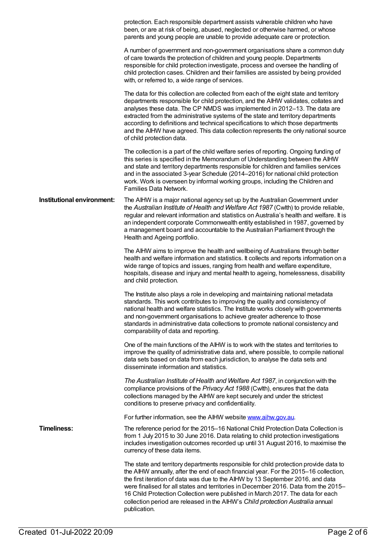|                            | protection. Each responsible department assists vulnerable children who have<br>been, or are at risk of being, abused, neglected or otherwise harmed, or whose<br>parents and young people are unable to provide adequate care or protection.                                                                                                                                                                                                                                                                                                       |
|----------------------------|-----------------------------------------------------------------------------------------------------------------------------------------------------------------------------------------------------------------------------------------------------------------------------------------------------------------------------------------------------------------------------------------------------------------------------------------------------------------------------------------------------------------------------------------------------|
|                            | A number of government and non-government organisations share a common duty<br>of care towards the protection of children and young people. Departments<br>responsible for child protection investigate, process and oversee the handling of<br>child protection cases. Children and their families are assisted by being provided<br>with, or referred to, a wide range of services.                                                                                                                                                               |
|                            | The data for this collection are collected from each of the eight state and territory<br>departments responsible for child protection, and the AIHW validates, collates and<br>analyses these data. The CP NMDS was implemented in 2012-13. The data are<br>extracted from the administrative systems of the state and territory departments<br>according to definitions and technical specifications to which those departments<br>and the AIHW have agreed. This data collection represents the only national source<br>of child protection data. |
|                            | The collection is a part of the child welfare series of reporting. Ongoing funding of<br>this series is specified in the Memorandum of Understanding between the AIHW<br>and state and territory departments responsible for children and families services<br>and in the associated 3-year Schedule (2014-2016) for national child protection<br>work. Work is overseen by informal working groups, including the Children and<br>Families Data Network.                                                                                           |
| Institutional environment: | The AIHW is a major national agency set up by the Australian Government under<br>the Australian Institute of Health and Welfare Act 1987 (Cwith) to provide reliable,<br>regular and relevant information and statistics on Australia's health and welfare. It is<br>an independent corporate Commonwealth entity established in 1987, governed by<br>a management board and accountable to the Australian Parliament through the<br>Health and Ageing portfolio.                                                                                   |
|                            | The AIHW aims to improve the health and wellbeing of Australians through better<br>health and welfare information and statistics. It collects and reports information on a<br>wide range of topics and issues, ranging from health and welfare expenditure,<br>hospitals, disease and injury and mental health to ageing, homelessness, disability<br>and child protection.                                                                                                                                                                         |
|                            | The Institute also plays a role in developing and maintaining national metadata<br>standards. This work contributes to improving the quality and consistency of<br>national health and welfare statistics. The Institute works closely with governments<br>and non-government organisations to achieve greater adherence to those<br>standards in administrative data collections to promote national consistency and<br>comparability of data and reporting.                                                                                       |
|                            | One of the main functions of the AIHW is to work with the states and territories to<br>improve the quality of administrative data and, where possible, to compile national<br>data sets based on data from each jurisdiction, to analyse the data sets and<br>disseminate information and statistics.                                                                                                                                                                                                                                               |
|                            | The Australian Institute of Health and Welfare Act 1987, in conjunction with the<br>compliance provisions of the Privacy Act 1988 (Cwlth), ensures that the data<br>collections managed by the AIHW are kept securely and under the strictest<br>conditions to preserve privacy and confidentiality.                                                                                                                                                                                                                                                |
|                            | For further information, see the AIHW website www.aihw.gov.au.                                                                                                                                                                                                                                                                                                                                                                                                                                                                                      |
| <b>Timeliness:</b>         | The reference period for the 2015–16 National Child Protection Data Collection is<br>from 1 July 2015 to 30 June 2016. Data relating to child protection investigations<br>includes investigation outcomes recorded up until 31 August 2016, to maximise the<br>currency of these data items.                                                                                                                                                                                                                                                       |
|                            | The state and territory departments responsible for child protection provide data to<br>the AIHW annually, after the end of each financial year. For the 2015-16 collection,<br>the first iteration of data was due to the AIHW by 13 September 2016, and data<br>were finalised for all states and territories in December 2016. Data from the 2015–<br>16 Child Protection Collection were published in March 2017. The data for each<br>collection period are released in the AIHW's Child protection Australia annual<br>publication.           |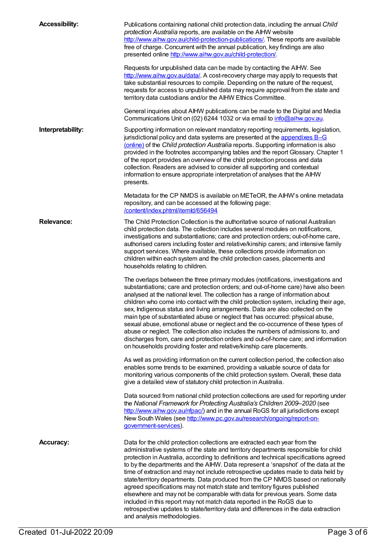| <b>Accessibility:</b> | Publications containing national child protection data, including the annual Child<br>protection Australia reports, are available on the AIHW website<br>http://www.aihw.gov.au/child-protection-publications/. These reports are available<br>free of charge. Concurrent with the annual publication, key findings are also<br>presented online http://www.aihw.gov.au/child-protection/.                                                                                                                                                                                                                                                                                                                                                                                                                                                                                            |
|-----------------------|---------------------------------------------------------------------------------------------------------------------------------------------------------------------------------------------------------------------------------------------------------------------------------------------------------------------------------------------------------------------------------------------------------------------------------------------------------------------------------------------------------------------------------------------------------------------------------------------------------------------------------------------------------------------------------------------------------------------------------------------------------------------------------------------------------------------------------------------------------------------------------------|
|                       | Requests for unpublished data can be made by contacting the AIHW. See<br>http://www.aihw.gov.au/data/. A cost-recovery charge may apply to requests that<br>take substantial resources to compile. Depending on the nature of the request,<br>requests for access to unpublished data may require approval from the state and<br>territory data custodians and/or the AIHW Ethics Committee.                                                                                                                                                                                                                                                                                                                                                                                                                                                                                          |
|                       | General inquiries about AIHW publications can be made to the Digital and Media<br>Communications Unit on (02) 6244 1032 or via email to info@aihw.gov.au.                                                                                                                                                                                                                                                                                                                                                                                                                                                                                                                                                                                                                                                                                                                             |
| Interpretability:     | Supporting information on relevant mandatory reporting requirements, legislation,<br>jurisdictional policy and data systems are presented at the appendixes B-G<br>(online) of the Child protection Australia reports. Supporting information is also<br>provided in the footnotes accompanying tables and the report Glossary. Chapter 1<br>of the report provides an overview of the child protection process and data<br>collection. Readers are advised to consider all supporting and contextual<br>information to ensure appropriate interpretation of analyses that the AIHW<br>presents.                                                                                                                                                                                                                                                                                      |
|                       | Metadata for the CP NMDS is available on METeOR, the AlHW's online metadata<br>repository, and can be accessed at the following page:<br>/content/index.phtml/itemld/656494                                                                                                                                                                                                                                                                                                                                                                                                                                                                                                                                                                                                                                                                                                           |
| <b>Relevance:</b>     | The Child Protection Collection is the authoritative source of national Australian<br>child protection data. The collection includes several modules on notifications,<br>investigations and substantiations; care and protection orders; out-of-home care,<br>authorised carers including foster and relative/kinship carers; and intensive family<br>support services. Where available, these collections provide information on<br>children within each system and the child protection cases, placements and<br>households relating to children.                                                                                                                                                                                                                                                                                                                                  |
|                       | The overlaps between the three primary modules (notifications, investigations and<br>substantiations; care and protection orders; and out-of-home care) have also been<br>analysed at the national level. The collection has a range of information about<br>children who come into contact with the child protection system, including their age,<br>sex, Indigenous status and living arrangements. Data are also collected on the<br>main type of substantiated abuse or neglect that has occurred: physical abuse,<br>sexual abuse, emotional abuse or neglect and the co-occurrence of these types of<br>abuse or neglect. The collection also includes the numbers of admissions to, and<br>discharges from, care and protection orders and out-of-home care; and information<br>on households providing foster and relative/kinship care placements.                           |
|                       | As well as providing information on the current collection period, the collection also<br>enables some trends to be examined, providing a valuable source of data for<br>monitoring various components of the child protection system. Overall, these data<br>give a detailed view of statutory child protection in Australia.                                                                                                                                                                                                                                                                                                                                                                                                                                                                                                                                                        |
|                       | Data sourced from national child protection collections are used for reporting under<br>the National Framework for Protecting Australia's Children 2009-2020 (see<br>http://www.aihw.gov.au/nfpac/) and in the annual RoGS for all jurisdictions except<br>New South Wales (see http://www.pc.gov.au/research/ongoing/report-on-<br>government-services).                                                                                                                                                                                                                                                                                                                                                                                                                                                                                                                             |
| <b>Accuracy:</b>      | Data for the child protection collections are extracted each year from the<br>administrative systems of the state and territory departments responsible for child<br>protection in Australia, according to definitions and technical specifications agreed<br>to by the departments and the AIHW. Data represent a 'snapshot' of the data at the<br>time of extraction and may not include retrospective updates made to data held by<br>state/territory departments. Data produced from the CP NMDS based on nationally<br>agreed specifications may not match state and territory figures published<br>elsewhere and may not be comparable with data for previous years. Some data<br>included in this report may not match data reported in the RoGS due to<br>retrospective updates to state/territory data and differences in the data extraction<br>and analysis methodologies. |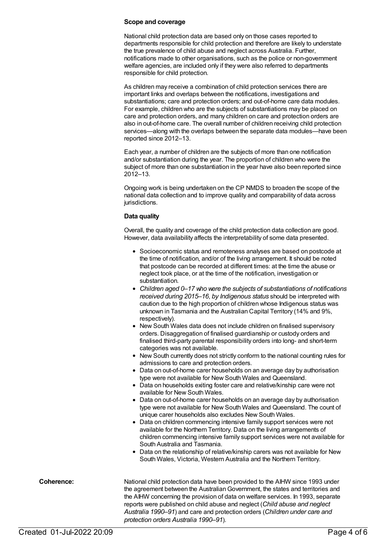### **Scope and coverage**

National child protection data are based only on those cases reported to departments responsible for child protection and therefore are likely to understate the true prevalence of child abuse and neglect across Australia. Further, notifications made to other organisations, such as the police or non-government welfare agencies, are included only if they were also referred to departments responsible for child protection.

As children may receive a combination of child protection services there are important links and overlaps between the notifications, investigations and substantiations; care and protection orders; and out-of-home care data modules. For example, children who are the subjects of substantiations may be placed on care and protection orders, and many children on care and protection orders are also in out-of-home care. The overall number of children receiving child protection services—along with the overlaps between the separate data modules—have been reported since 2012–13.

Each year, a number of children are the subjects of more than one notification and/or substantiation during the year. The proportion of children who were the subject of more than one substantiation in the year have also been reported since 2012–13.

Ongoing work is being undertaken on the CP NMDS to broaden the scope of the national data collection and to improve quality and comparability of data across jurisdictions.

### **Data quality**

Overall, the quality and coverage of the child protection data collection are good. However, data availability affects the interpretability of some data presented.

- Socioeconomic status and remoteness analyses are based on postcode at the time of notification, and/or of the living arrangement. It should be noted that postcode can be recorded at different times: at the time the abuse or neglect took place, or at the time of the notification, investigation or substantiation.
- *Children aged 0–17 who were the subjects of substantiations of notifications received during 2015–16*, *by Indigenous status* should be interpreted with caution due to the high proportion of children whose Indigenous status was unknown in Tasmania and the Australian Capital Territory (14% and 9%, respectively).
- New South Wales data does not include children on finalised supervisory orders. Disaggregation of finalised guardianship or custody orders and finalised third-party parental responsibility orders into long- and short-term categories was not available.
- New South currently does not strictly conform to the national counting rules for admissions to care and protection orders.
- Data on out-of-home carer households on an average day by authorisation type were not available for New South Wales and Queensland.
- Data on households exiting foster care and relative/kinship care were not available for New South Wales.
- Data on out-of-home carer households on an average day by authorisation type were not available for New South Wales and Queensland. The count of unique carer households also excludes New South Wales.
- Data on children commencing intensive family support services were not available for the Northern Territory. Data on the living arrangements of children commencing intensive family support services were not available for South Australia and Tasmania.
- Data on the relationship of relative/kinship carers was not available for New South Wales, Victoria, Western Australia and the Northern Territory.

**Coherence:** National child protection data have been provided to the AIHW since 1993 under the agreement between the AustralianGovernment, the states and territories and the AIHW concerning the provision of data on welfare services. In 1993, separate reports were published on child abuse and neglect (*Child abuse and neglect Australia 1990–91*) and care and protection orders (*Children under care and protection orders Australia 1990–91*).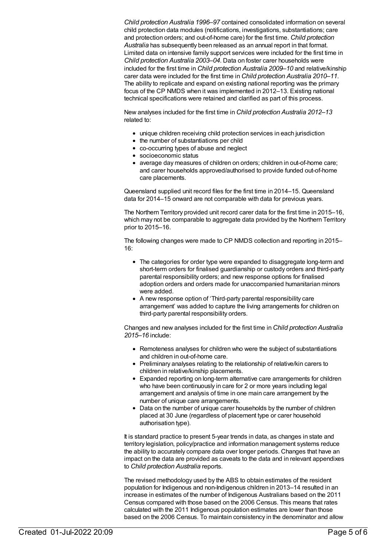*Child protection Australia 1996–97* contained consolidated information on several child protection data modules (notifications, investigations, substantiations; care and protection orders; and out-of-home care) for the first time. *Child protection Australia* has subsequently been released as an annual report in that format. Limited data on intensive family support services were included for the first time in *Child protection Australia 2003–04*. Data on foster carer households were included for the first time in *Child protection Australia 2009–10* and relative/kinship carer data were included for the first time in *Child protection Australia 2010–11*. The ability to replicate and expand on existing national reporting was the primary focus of the CP NMDS when it was implemented in 2012–13. Existing national technical specifications were retained and clarified as part of this process.

New analyses included for the first time in *Child protection Australia 2012–13* related to:

- unique children receiving child protection services in each jurisdiction
- the number of substantiations per child
- co-occurring types of abuse and neglect
- socioeconomic status
- average day measures of children on orders; children in out-of-home care; and carer households approved/authorised to provide funded out-of-home care placements.

Queensland supplied unit record files for the first time in 2014–15. Queensland data for 2014–15 onward are not comparable with data for previous years.

The Northern Territory provided unit record carer data for the first time in 2015–16, which may not be comparable to aggregate data provided by the Northern Territory prior to 2015–16.

The following changes were made to CP NMDS collection and reporting in 2015– 16:

- The categories for order type were expanded to disaggregate long-term and short-term orders for finalised guardianship or custody orders and third-party parental responsibility orders; and new response options for finalised adoption orders and orders made for unaccompanied humanitarian minors were added.
- A new response option of 'Third-party parental responsibility care arrangement' was added to capture the living arrangements for children on third-party parental responsibility orders.

Changes and new analyses included for the first time in *Child protection Australia 2015–16* include:

- Remoteness analyses for children who were the subject of substantiations and children in out-of-home care.
- Preliminary analyses relating to the relationship of relative/kin carers to children in relative/kinship placements.
- Expanded reporting on long-term alternative care arrangements for children who have been continuously in care for 2 or more years including legal arrangement and analysis of time in one main care arrangement by the number of unique care arrangements.
- Data on the number of unique carer households by the number of children placed at 30 June (regardless of placement type or carer household authorisation type).

It is standard practice to present 5-year trends in data, as changes in state and territory legislation, policy/practice and information management systems reduce the ability to accurately compare data over longer periods. Changes that have an impact on the data are provided as caveats to the data and in relevant appendixes to *Child protection Australia* reports.

The revised methodology used by the ABS to obtain estimates of the resident population for Indigenous and non-Indigenous children in 2013–14 resulted in an increase in estimates of the number of Indigenous Australians based on the 2011 Census compared with those based on the 2006 Census. This means that rates calculated with the 2011 Indigenous population estimates are lower than those based on the 2006 Census. To maintain consistency in the denominator and allow